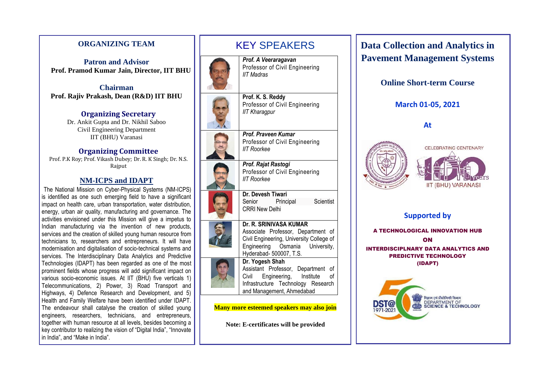## **ORGANIZING TEAM**

**Patron and Advisor Prof. Pramod Kumar Jain, Director, IIT BHU**

**Chairman Prof. Rajiv Prakash, Dean (R&D) IIT BHU**

> **Organizing Secretary** Dr. Ankit Gupta and Dr. Nikhil Saboo Civil Engineering Department IIT (BHU) Varanasi

### **Organizing Committee**

Prof. P.K Roy; Prof. Vikash Dubey; Dr. R. K Singh; Dr. N.S. Rajput

## **NM-ICPS and IDAPT**

The National Mission on Cyber-Physical Systems (NM-ICPS) is identified as one such emerging field to have a significant impact on health care, urban transportation, water distribution, energy, urban air quality, manufacturing and governance. The activities envisioned under this Mission will give a impetus to Indian manufacturing via the invention of new products, services and the creation of skilled young human resource from technicians to, researchers and entrepreneurs. It will have modernisation and digitalisation of socio-technical systems and services. The Interdisciplinary Data Analytics and Predictive Technologies (IDAPT) has been regarded as one of the most prominent fields whose progress will add significant impact on various socio-economic issues. At IIT (BHU) five verticals 1) Telecommunications, 2) Power, 3) Road Transport and Highways, 4) Defence Research and Development, and 5) Health and Family Welfare have been identified under IDAPT. The endeavour shall catalyse the creation of skilled young engineers, researchers, technicians, and entrepreneurs, together with human resource at all levels, besides becoming a key contributor to realizing the vision of "Digital India", "Innovate in India", and "Make in India".



**Many more esteemed speakers may also join**

**Note: E-certificates will be provided**

**Data Collection and Analytics in Pavement Management Systems**

**Online Short-term Course**

## **March 01-05, 2021**

**At**





**Supported by**

A TECHNOLOGICAL INNOVATION HUB ON INTERDISCIPLNARY DATA ANALYTICS AND PREDICTIVE TECHNOLOGY (IDAPT)